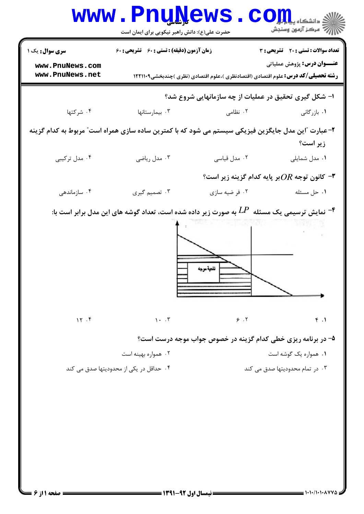|                                                                                                                | www.PnuNews.                                                                                                          |                                                                                          | COILL distribution                                         |  |
|----------------------------------------------------------------------------------------------------------------|-----------------------------------------------------------------------------------------------------------------------|------------------------------------------------------------------------------------------|------------------------------------------------------------|--|
| <b>سری سوال :</b> یک ۱                                                                                         | حضرت علی(ع): دانش راهبر نیکویی برای ایمان است<br>زمان آزمون (دقیقه) : تستی : 60 ٪ تشریحی : 60                         |                                                                                          | تعداد سوالات : تستي : 20 تشريحي : 3                        |  |
| www.PnuNews.com<br>www.PnuNews.net                                                                             |                                                                                                                       | <b>رشته تحصیلی/کد درس:</b> علوم اقتصادی (اقتصادنظری )،علوم اقتصادی (نظری )چندبخشی1۲۲۱۱۰۹ | <b>عنـــوان درس:</b> پژوهش عملیاتی                         |  |
|                                                                                                                |                                                                                                                       | ا- شکل گیری تحقیق در عملیات از چه سازمانهایی شروع شد؟                                    |                                                            |  |
| ۰۴ شرکتها                                                                                                      | ۰۳ بیمارستانها                                                                                                        | ۰۲ نظامی                                                                                 | ۰۱ بازرگانی                                                |  |
| ۲–عبارت آاین مدل جایگزین فیزیکی سیستم می شود که با کمترین ساده سازی همراه است″ مربوط به کدام گزینه<br>زیر است؟ |                                                                                                                       |                                                                                          |                                                            |  |
| ۰۴ مدل ترکیبی                                                                                                  | ۰۳ مدل ریاضی                                                                                                          | ۰۲ مدل قیاسی                                                                             | ۰۱ مدل شمایلی                                              |  |
|                                                                                                                |                                                                                                                       |                                                                                          | "– كانون توجه $OR$ بر پايه كدام گزينه زير است $\mathsf{I}$ |  |
| ۰۴ سازماندهی                                                                                                   | ۰۳ تصمیم گیری                                                                                                         | ۰۲ فر ضيه سازي                                                                           | ۰۱ حل مسئله                                                |  |
|                                                                                                                | نمایش ترسیمی یک مسئله $L P$ به صورت زیر داده شده است، تعداد گوشه های این مدل برابر است با: $\textcolor{red}{\bullet}$ | للتوة موجه                                                                               |                                                            |  |
| 15.5                                                                                                           | $\lambda \cdot \cdot \cdot$                                                                                           | 9.7                                                                                      | f.1                                                        |  |
|                                                                                                                | ۰۲ همواره بهینه است<br>۰۴ حداقل در یکی از محدودیتها صدق می کند                                                        | ۵- در برنامه ریزی خطی کدام گزینه در خصوص جواب موجه درست است؟                             | ۰۱ همواره یک گوشه است<br>۰۳ در تمام محدودیتها صدق می کند   |  |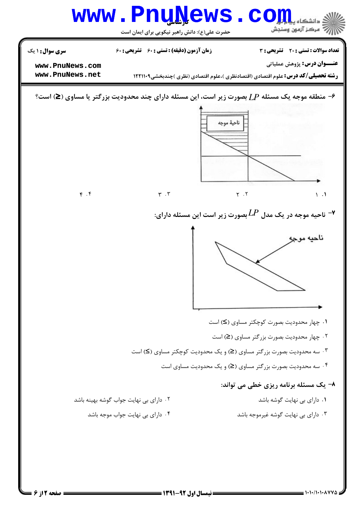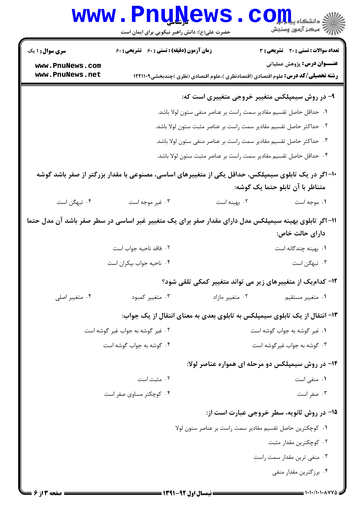|                                           | www.PnuNews                                                                                           |                                                                          | الا دانشکاه پیایالیا<br>الا مرکز آزمون وسنجش                                             |
|-------------------------------------------|-------------------------------------------------------------------------------------------------------|--------------------------------------------------------------------------|------------------------------------------------------------------------------------------|
|                                           | حضرت علی(ع): دانش راهبر نیکویی برای ایمان است<br><b>زمان آزمون (دقیقه) : تستی : 60 ٪ تشریحی : 60</b>  |                                                                          | تعداد سوالات : تستی : 20 ۔ تشریحی : 3                                                    |
| <b>سری سوال : ۱ یک</b><br>www.PnuNews.com |                                                                                                       |                                                                          | <b>عنـــوان درس:</b> پژوهش عملیاتی                                                       |
| www.PnuNews.net                           |                                                                                                       |                                                                          | <b>رشته تحصیلی/کد درس:</b> علوم اقتصادی (اقتصادنظری )،علوم اقتصادی (نظری )چندبخشی۱۲۲۱۱۰۹ |
|                                           |                                                                                                       |                                                                          | ۹- در روش سیمپلکس متغییر خروجی متغییری است که:                                           |
|                                           |                                                                                                       | <b>۱.</b> حداقل حاصل تقسیم مقادیر سمت راست بر عناصر منفی ستون لولا باشد. |                                                                                          |
|                                           |                                                                                                       | ۰۲ حداکثر حاصل تقسیم مقادیر سمت راست بر عناصر مثبت ستون لولا باشد.       |                                                                                          |
|                                           |                                                                                                       | ۰۳ حداکثر حاصل تقسیم مقادیر سمت راست بر عناصر منفی ستون لولا باشد.       |                                                                                          |
|                                           |                                                                                                       | ۰۴ حداقل حاصل تقسیم مقادیر سمت راست بر عناصر مثبت ستون لولا باشد.        |                                                                                          |
|                                           | ۱۰– اگر در یک تابلوی سیمپلکس، حداقل یکی از متغییرهای اساسی، مصنوعی با مقدار بزرگتر از صفر باشد گوشه   |                                                                          | متناظر با آن تابلو حتما یک گوشه:                                                         |
| ۰۴ تبهگن است                              | ۰۳ غیر موجه است                                                                                       | ۰۲ بهینه است                                                             | ۰۱ موجه است                                                                              |
|                                           | ۱۱– اگر تابلوی بهینه سیمپلکس مدل دارای مقدار صفر برای یک متغییر غیر اساسی در سطر صفر باشد آن مدل حتما |                                                                          | دارای حالت خاص:                                                                          |
|                                           | ٢. فاقد ناحيه جواب است                                                                                |                                                                          | ۰۱ بهینه چندگانه است                                                                     |
|                                           | ۰۴ ناحیه جواب بیکران است                                                                              |                                                                          | ۰۳ تبهگن است                                                                             |
|                                           |                                                                                                       |                                                                          | ۱۲– کدام یک از متغییرهای زیر می تواند متغییر کمکی تلقی شود؟                              |
| ۰۴ متغییر اصلی                            | ۰۳ متغییر کمبود                                                                                       | ۰۲ متغییر مازاد                                                          | ۰۱ متغییر مستقیم                                                                         |
|                                           |                                                                                                       |                                                                          | ۱۳- انتقال از یک تابلوی سیمپلکس به تابلوی بعدی به معنای انتقال از یک جواب:               |
|                                           | ۰۲ غیر گوشه به جواب غیر گوشه است                                                                      |                                                                          | ۰۱ غیر گوشه به جواب گوشه است                                                             |
|                                           | ۰۴ گوشه به جواب گوشه است                                                                              |                                                                          | ۰۳ گوشه به جواب غیرگوشه است                                                              |
|                                           |                                                                                                       |                                                                          | ۱۴- در روش سیمپلکس دو مرحله ای همواره عناصر لولا:                                        |
|                                           | ۰۲ مثبت است                                                                                           |                                                                          | ۰۱ منفی است                                                                              |
|                                           | ۰۴ کوچکتر مساوی صفر است                                                                               |                                                                          | ۰۳ صفر است                                                                               |
|                                           |                                                                                                       |                                                                          | ۱۵- در روش ثانویه، سطر خروجی عبارت است از:                                               |
|                                           |                                                                                                       | ٠١ كوچكترين حاصل تقسيم مقادير سمت راست بر عناصر ستون لولا                |                                                                                          |
|                                           |                                                                                                       |                                                                          | ۰۲ کوچکترین مقدار مثبت                                                                   |
|                                           |                                                                                                       |                                                                          | ۰۳ منفی ترین مقدار سمت راست                                                              |
|                                           |                                                                                                       |                                                                          | ۰۴ برزگترین مقدار منفی                                                                   |
|                                           |                                                                                                       |                                                                          |                                                                                          |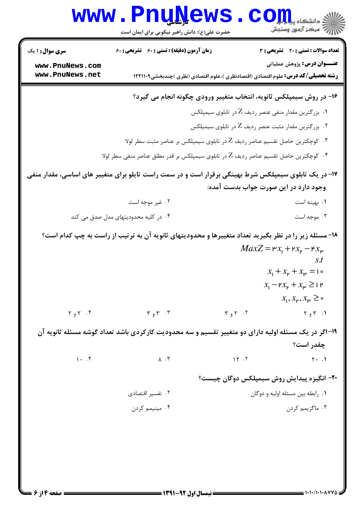|                                                                                                      | <b>www.PnuNews</b><br>حضرت علی(ع): دانش راهبر نیکویی برای ایمان است                                   |                     | ي<br>چ دانشڪاه پ <b>يا پار</b><br>رآ مرڪز آزمون وسنڊش                                                                          |  |
|------------------------------------------------------------------------------------------------------|-------------------------------------------------------------------------------------------------------|---------------------|--------------------------------------------------------------------------------------------------------------------------------|--|
| سری سوال: ۱ یک                                                                                       | <b>زمان آزمون (دقیقه) : تستی : 60 ٪ تشریحی : 60</b>                                                   |                     | تعداد سوالات : تستي : 20 - تشريحي : 3                                                                                          |  |
| www.PnuNews.com<br>www.PnuNews.net                                                                   |                                                                                                       |                     | <b>عنـــوان درس:</b> پژوهش عملیاتی<br><b>رشته تحصیلی/کد درس:</b> علوم اقتصادی (اقتصادنظری )،علوم اقتصادی (نظری )چندبخشی۱۲۲۱۱۰۹ |  |
|                                                                                                      |                                                                                                       |                     | ۱۶- در روش سیمپلکس ثانویه، انتخاب متغییر ورودی چگونه انجام می گیرد؟                                                            |  |
|                                                                                                      |                                                                                                       |                     | ۰۱ بزرگترین مقدار منفی عنصر ردیف Z در تابلوی سیمپلکس                                                                           |  |
|                                                                                                      |                                                                                                       |                     | ۰۲ بزرگترین مقدار مثبت عنصر ردیف Z در تابلوی سیمپلکس                                                                           |  |
| ۰۳ کوچکترین حاصل تقسیم عناصر ردیف Z در تابلوی سیمپلکس بر عناصر مثبت سطر لولا $\cdot$                 |                                                                                                       |                     |                                                                                                                                |  |
| ۰۴ کوچکترین حاصل تقسیم عناصر ردیف Z در تابلوی سیمپلکس بر قدر مطلق عناصر منفی سطر لولا $\cdot$        |                                                                                                       |                     |                                                                                                                                |  |
| ۱۷- در یک تابلوی سیمپلکس شرط بهینگی برقرار است و در سمت راست تایلو برای متغییر های اساسی، مقدار منفی |                                                                                                       |                     |                                                                                                                                |  |
|                                                                                                      |                                                                                                       |                     | وجود دارد در این صورت جواب بدست آمده:                                                                                          |  |
|                                                                                                      | ۰۲ غیر موجه است                                                                                       |                     | ۰۱ بهينه است                                                                                                                   |  |
|                                                                                                      | ۰۴ در کلیه محدودیتهای مدل صدق می کند                                                                  |                     | ۰۳ موجه است                                                                                                                    |  |
|                                                                                                      | ۱۸– مسئله زیر را در نظر بگیرید تعداد متغییرها و محدودیتهای ثانویه آن به ترتیب از راست به چپ کدام است؟ |                     |                                                                                                                                |  |
|                                                                                                      |                                                                                                       |                     | $MaxZ = \mathbf{P} x_1 + \mathbf{P} x_{\mathbf{P}} - \mathbf{F} x_{\mathbf{P}}$                                                |  |
|                                                                                                      |                                                                                                       |                     | s.t<br>$x_1 + x_2 + x_3 = 1$                                                                                                   |  |
|                                                                                                      |                                                                                                       |                     | $x_1 - \mu x_\mu + x_\mu \geq 1$ ۲                                                                                             |  |
|                                                                                                      |                                                                                                       |                     | $x_1, x_{\mu}, x_{\mu} \geq \infty$                                                                                            |  |
| $Y_{9}Y$ . $\zeta$                                                                                   | $\mathbf{r}_{\theta} \mathbf{r}$ .                                                                    | $Y_{\theta}$ ۲. ۲   | ۰۱. ۳و۲                                                                                                                        |  |
|                                                                                                      | ۱۹-اگر در یک مسئله اولیه دارای دو متغییر تقسیم و سه محدودیت کارکردی باشد تعداد گوشه مسئله ثانویه آن   |                     |                                                                                                                                |  |
|                                                                                                      |                                                                                                       |                     | چقدر است؟                                                                                                                      |  |
| $\cdots$                                                                                             | $\Lambda$ . $\Upsilon$                                                                                | $\gamma$ $\gamma$ . | $Y \cdot .1$                                                                                                                   |  |
|                                                                                                      |                                                                                                       |                     | <b>۲۰</b> - انگیزه پیدایش روش سیمپلکس دوگان چیست؟                                                                              |  |
|                                                                                                      | ۰۲ تفسیر اقتصادی                                                                                      |                     | ۰۱ رابطه بین مسئله اولیه و دوگان                                                                                               |  |
|                                                                                                      | ۰۴ مینیمم کردن                                                                                        |                     | ۰۳ ماگزیمم کردن                                                                                                                |  |
|                                                                                                      |                                                                                                       |                     |                                                                                                                                |  |
|                                                                                                      |                                                                                                       |                     |                                                                                                                                |  |
|                                                                                                      |                                                                                                       |                     |                                                                                                                                |  |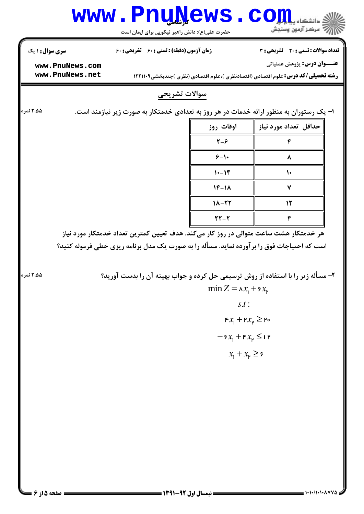

 $= 1.1.11.1.1.0444$